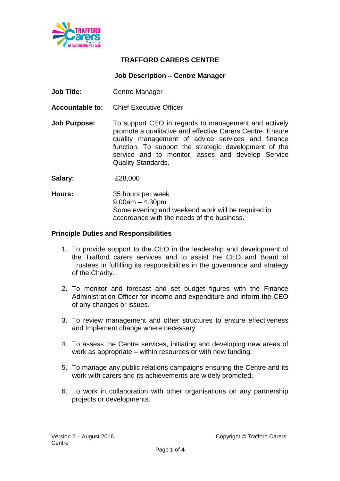

## **TRAFFORD CARERS CENTRE**

## **Job Description – Centre Manager**

- **Job Title:** Centre Manager
- **Accountable to:** Chief Executive Officer
- **Job Purpose:** To support CEO in regards to management and actively promote a qualitative and effective Carers Centre. Ensure quality management of advice services and finance function. To support the strategic development of the service and to monitor, asses and develop Service Quality Standards.

**Salary:** £28,000

**Hours:** 35 hours per week 9.00am – 4.30pm Some evening and weekend work will be required in accordance with the needs of the business.

## **Principle Duties and Responsibilities**

- 1. To provide support to the CEO in the leadership and development of the Trafford carers services and to assist the CEO and Board of Trustees in fulfilling its responsibilities in the governance and strategy of the Charity.
- 2. To monitor and forecast and set budget figures with the Finance Administration Officer for income and expenditure and inform the CEO of any changes or issues.
- 3. To review management and other structures to ensure effectiveness and Implement change where necessary
- 4. To assess the Centre services, initiating and developing new areas of work as appropriate – within resources or with new funding.
- 5. To manage any public relations campaigns ensuring the Centre and its work with carers and its achievements are widely promoted.
- 6. To work in collaboration with other organisations on any partnership projects or developments.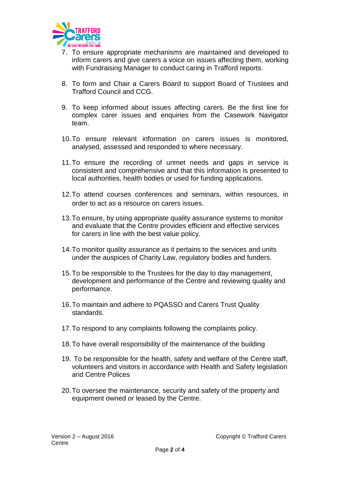

- 7. To ensure appropriate mechanisms are maintained and developed to inform carers and give carers a voice on issues affecting them, working with Fundraising Manager to conduct caring in Trafford reports.
- 8. To form and Chair a Carers Board to support Board of Trustees and Trafford Council and CCG.
- 9. To keep informed about issues affecting carers. Be the first line for complex carer issues and enquiries from the Casework Navigator team.
- 10.To ensure relevant information on carers issues is monitored, analysed, assessed and responded to where necessary.
- 11.To ensure the recording of unmet needs and gaps in service is consistent and comprehensive and that this information is presented to local authorities, health bodies or used for funding applications.
- 12.To attend courses conferences and seminars, within resources, in order to act as a resource on carers issues.
- 13.To ensure, by using appropriate quality assurance systems to monitor and evaluate that the Centre provides efficient and effective services for carers in line with the best value policy.
- 14.To monitor quality assurance as it pertains to the services and units under the auspices of Charity Law, regulatory bodies and funders.
- 15.To be responsible to the Trustees for the day to day management, development and performance of the Centre and reviewing quality and performance.
- 16.To maintain and adhere to PQASSO and Carers Trust Quality standards.
- 17.To respond to any complaints following the complaints policy.
- 18.To have overall responsibility of the maintenance of the building
- 19. To be responsible for the health, safety and welfare of the Centre staff, volunteers and visitors in accordance with Health and Safety legislation and Centre Polices
- 20.To oversee the maintenance, security and safety of the property and equipment owned or leased by the Centre.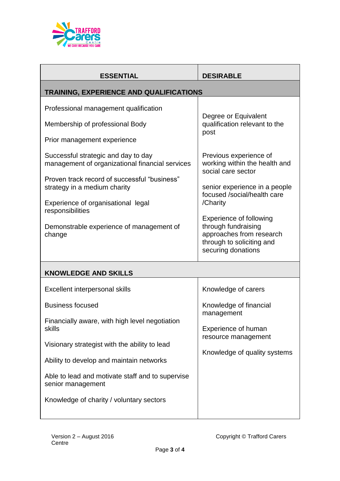

| <b>ESSENTIAL</b>                                                                                                                                                                                  | <b>DESIRABLE</b>                                                                                                                                                                                                 |  |
|---------------------------------------------------------------------------------------------------------------------------------------------------------------------------------------------------|------------------------------------------------------------------------------------------------------------------------------------------------------------------------------------------------------------------|--|
| TRAINING, EXPERIENCE AND QUALIFICATIONS                                                                                                                                                           |                                                                                                                                                                                                                  |  |
| Professional management qualification<br>Membership of professional Body<br>Prior management experience<br>Successful strategic and day to day<br>management of organizational financial services | Degree or Equivalent<br>qualification relevant to the<br>post<br>Previous experience of<br>working within the health and<br>social care sector                                                                   |  |
| Proven track record of successful "business"<br>strategy in a medium charity<br>Experience of organisational legal<br>responsibilities<br>Demonstrable experience of management of<br>change      | senior experience in a people<br>focused /social/health care<br>/Charity<br><b>Experience of following</b><br>through fundraising<br>approaches from research<br>through to soliciting and<br>securing donations |  |
| <b>KNOWLEDGE AND SKILLS</b>                                                                                                                                                                       |                                                                                                                                                                                                                  |  |
| Excellent interpersonal skills<br><b>Business focused</b><br>Financially aware, with high level negotiation<br>skills<br>Visionary strategist with the ability to lead                            | Knowledge of carers<br>Knowledge of financial<br>management<br><b>Experience of human</b><br>resource management                                                                                                 |  |
| Ability to develop and maintain networks<br>Able to lead and motivate staff and to supervise<br>senior management<br>Knowledge of charity / voluntary sectors                                     | Knowledge of quality systems                                                                                                                                                                                     |  |